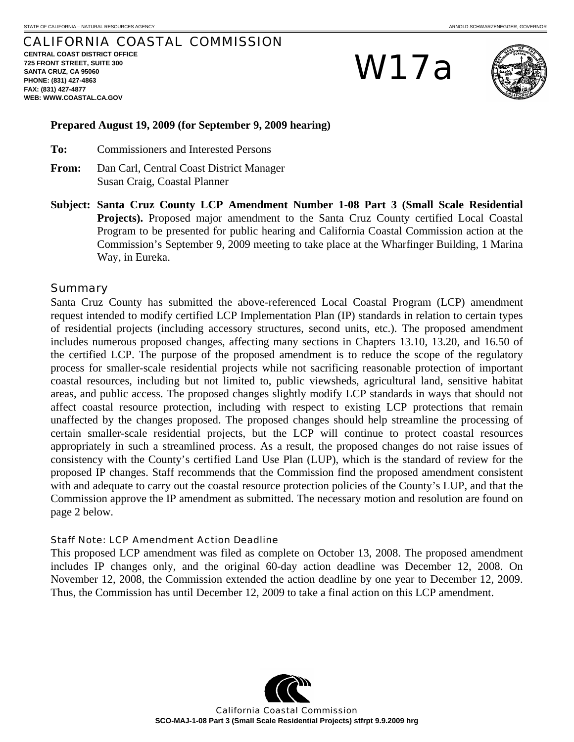# CALIFORNIA COASTAL COMMISSION

**CENTRAL COAST DISTRICT OFFICE 725 FRONT STREET, SUITE 300 SANTA CRUZ, CA 95060 PHONE: (831) 427-4863 FAX: (831) 427-4877 WEB: WWW.COASTAL.CA.GOV**

W17a



#### **Prepared August 19, 2009 (for September 9, 2009 hearing)**

- **To:** Commissioners and Interested Persons
- **From:** Dan Carl, Central Coast District Manager Susan Craig, Coastal Planner
- **Subject: Santa Cruz County LCP Amendment Number 1-08 Part 3 (Small Scale Residential Projects).** Proposed major amendment to the Santa Cruz County certified Local Coastal Program to be presented for public hearing and California Coastal Commission action at the Commission's September 9, 2009 meeting to take place at the Wharfinger Building, 1 Marina Way, in Eureka.

#### Summary

Santa Cruz County has submitted the above-referenced Local Coastal Program (LCP) amendment request intended to modify certified LCP Implementation Plan (IP) standards in relation to certain types of residential projects (including accessory structures, second units, etc.). The proposed amendment includes numerous proposed changes, affecting many sections in Chapters 13.10, 13.20, and 16.50 of the certified LCP. The purpose of the proposed amendment is to reduce the scope of the regulatory process for smaller-scale residential projects while not sacrificing reasonable protection of important coastal resources, including but not limited to, public viewsheds, agricultural land, sensitive habitat areas, and public access. The proposed changes slightly modify LCP standards in ways that should not affect coastal resource protection, including with respect to existing LCP protections that remain unaffected by the changes proposed. The proposed changes should help streamline the processing of certain smaller-scale residential projects, but the LCP will continue to protect coastal resources appropriately in such a streamlined process. As a result, the proposed changes do not raise issues of consistency with the County's certified Land Use Plan (LUP), which is the standard of review for the proposed IP changes. Staff recommends that the Commission find the proposed amendment consistent with and adequate to carry out the coastal resource protection policies of the County's LUP, and that the Commission approve the IP amendment as submitted. The necessary motion and resolution are found on page 2 below.

#### Staff Note: LCP Amendment Action Deadline

This proposed LCP amendment was filed as complete on October 13, 2008. The proposed amendment includes IP changes only, and the original 60-day action deadline was December 12, 2008. On November 12, 2008, the Commission extended the action deadline by one year to December 12, 2009. Thus, the Commission has until December 12, 2009 to take a final action on this LCP amendment.



California Coastal Commission **SCO-MAJ-1-08 Part 3 (Small Scale Residential Projects) stfrpt 9.9.2009 hrg**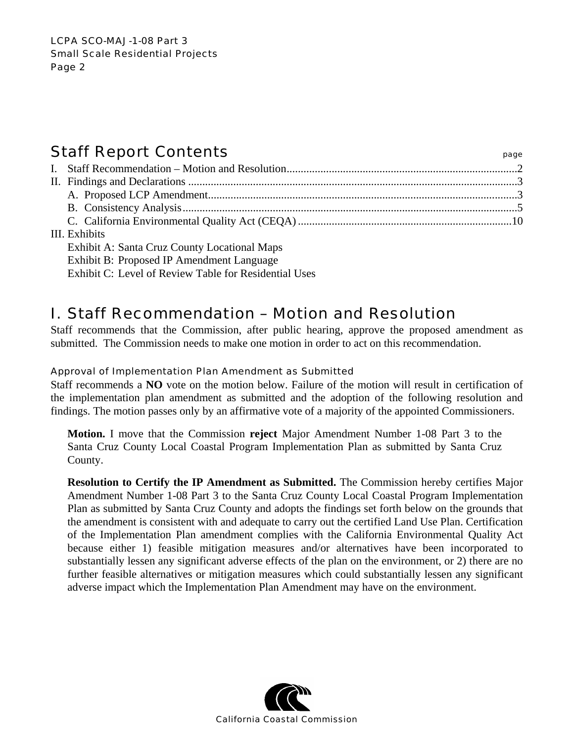# Staff Report Contents **Staff Report Contents**

| III. Exhibits                                       |  |
|-----------------------------------------------------|--|
| <b>Exhibit A: Santa Cruz County Locational Maps</b> |  |
|                                                     |  |

Exhibit B: Proposed IP Amendment Language

Exhibit C: Level of Review Table for Residential Uses

# I. Staff Recommendation – Motion and Resolution

Staff recommends that the Commission, after public hearing, approve the proposed amendment as submitted. The Commission needs to make one motion in order to act on this recommendation.

# Approval of Implementation Plan Amendment as Submitted

Staff recommends a **NO** vote on the motion below. Failure of the motion will result in certification of the implementation plan amendment as submitted and the adoption of the following resolution and findings. The motion passes only by an affirmative vote of a majority of the appointed Commissioners.

**Motion.** I move that the Commission **reject** Major Amendment Number 1-08 Part 3 to the Santa Cruz County Local Coastal Program Implementation Plan as submitted by Santa Cruz County.

**Resolution to Certify the IP Amendment as Submitted.** The Commission hereby certifies Major Amendment Number 1-08 Part 3 to the Santa Cruz County Local Coastal Program Implementation Plan as submitted by Santa Cruz County and adopts the findings set forth below on the grounds that the amendment is consistent with and adequate to carry out the certified Land Use Plan. Certification of the Implementation Plan amendment complies with the California Environmental Quality Act because either 1) feasible mitigation measures and/or alternatives have been incorporated to substantially lessen any significant adverse effects of the plan on the environment, or 2) there are no further feasible alternatives or mitigation measures which could substantially lessen any significant adverse impact which the Implementation Plan Amendment may have on the environment.

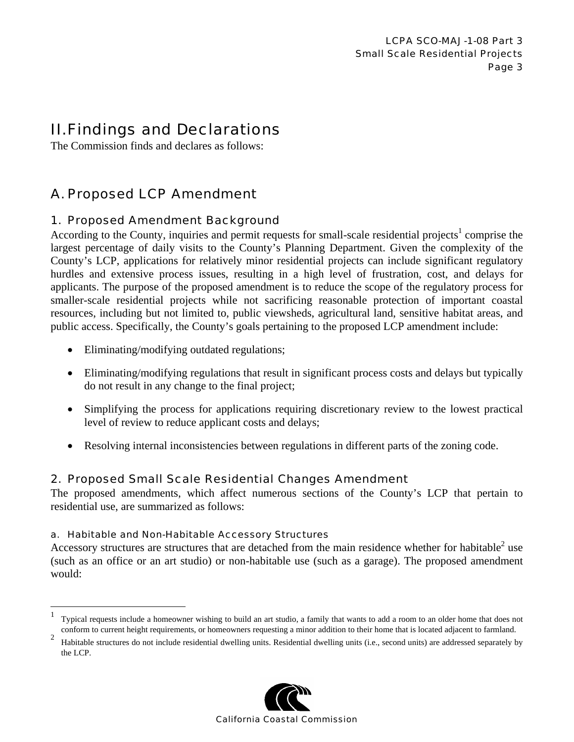# II. Findings and Declarations

The Commission finds and declares as follows:

# A. Proposed LCP Amendment

# 1. Proposed Amendment Background

According to the County, inquiries and permit requests for small-scale residential projects<sup>1</sup> comprise the largest percentage of daily visits to the County's Planning Department. Given the complexity of the County's LCP, applications for relatively minor residential projects can include significant regulatory hurdles and extensive process issues, resulting in a high level of frustration, cost, and delays for applicants. The purpose of the proposed amendment is to reduce the scope of the regulatory process for smaller-scale residential projects while not sacrificing reasonable protection of important coastal resources, including but not limited to, public viewsheds, agricultural land, sensitive habitat areas, and public access. Specifically, the County's goals pertaining to the proposed LCP amendment include:

- Eliminating/modifying outdated regulations;
- Eliminating/modifying regulations that result in significant process costs and delays but typically do not result in any change to the final project;
- Simplifying the process for applications requiring discretionary review to the lowest practical level of review to reduce applicant costs and delays;
- Resolving internal inconsistencies between regulations in different parts of the zoning code.

# 2. Proposed Small Scale Residential Changes Amendment

The proposed amendments, which affect numerous sections of the County's LCP that pertain to residential use, are summarized as follows:

# a. Habitable and Non-Habitable Accessory Structures

<u>.</u>

Accessory structures are structures that are detached from the main residence whether for habitable<sup>2</sup> use (such as an office or an art studio) or non-habitable use (such as a garage). The proposed amendment would:

<sup>&</sup>lt;sup>2</sup> Habitable structures do not include residential dwelling units. Residential dwelling units (i.e., second units) are addressed separately by the LCP.



<sup>&</sup>lt;sup>1</sup> Typical requests include a homeowner wishing to build an art studio, a family that wants to add a room to an older home that does not conform to current height requirements, or homeowners requesting a minor addition to their home that is located adjacent to farmland.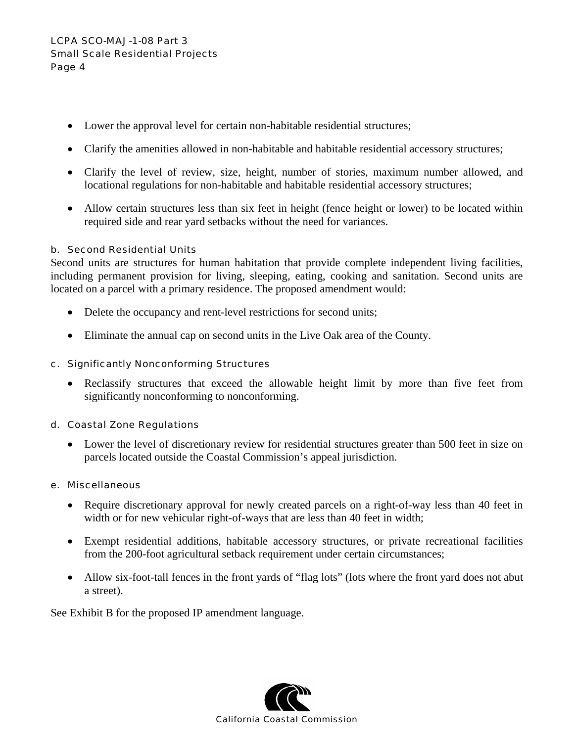- Lower the approval level for certain non-habitable residential structures;
- Clarify the amenities allowed in non-habitable and habitable residential accessory structures;
- Clarify the level of review, size, height, number of stories, maximum number allowed, and locational regulations for non-habitable and habitable residential accessory structures;
- Allow certain structures less than six feet in height (fence height or lower) to be located within required side and rear yard setbacks without the need for variances.

# b. Second Residential Units

Second units are structures for human habitation that provide complete independent living facilities, including permanent provision for living, sleeping, eating, cooking and sanitation. Second units are located on a parcel with a primary residence. The proposed amendment would:

- Delete the occupancy and rent-level restrictions for second units;
- Eliminate the annual cap on second units in the Live Oak area of the County.

# c. Significantly Nonconforming Structures

• Reclassify structures that exceed the allowable height limit by more than five feet from significantly nonconforming to nonconforming.

# d. Coastal Zone Regulations

• Lower the level of discretionary review for residential structures greater than 500 feet in size on parcels located outside the Coastal Commission's appeal jurisdiction.

# e. Miscellaneous

- Require discretionary approval for newly created parcels on a right-of-way less than 40 feet in width or for new vehicular right-of-ways that are less than 40 feet in width;
- Exempt residential additions, habitable accessory structures, or private recreational facilities from the 200-foot agricultural setback requirement under certain circumstances;
- Allow six-foot-tall fences in the front yards of "flag lots" (lots where the front yard does not abut a street).

See Exhibit B for the proposed IP amendment language.

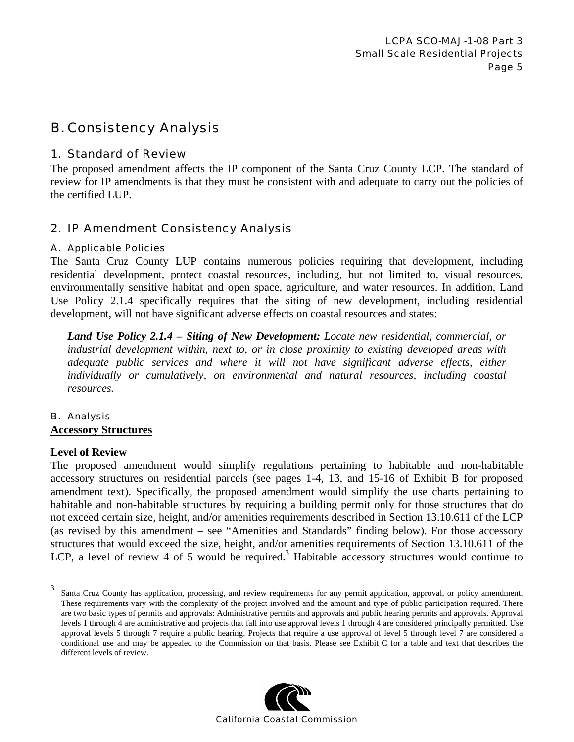# B. Consistency Analysis

# 1. Standard of Review

The proposed amendment affects the IP component of the Santa Cruz County LCP. The standard of review for IP amendments is that they must be consistent with and adequate to carry out the policies of the certified LUP.

# 2. IP Amendment Consistency Analysis

# A. Applicable Policies

The Santa Cruz County LUP contains numerous policies requiring that development, including residential development, protect coastal resources, including, but not limited to, visual resources, environmentally sensitive habitat and open space, agriculture, and water resources. In addition, Land Use Policy 2.1.4 specifically requires that the siting of new development, including residential development, will not have significant adverse effects on coastal resources and states:

*Land Use Policy 2.1.4 – Siting of New Development: Locate new residential, commercial, or industrial development within, next to, or in close proximity to existing developed areas with adequate public services and where it will not have significant adverse effects, either individually or cumulatively, on environmental and natural resources, including coastal resources.* 

# B. Analysis **Accessory Structures**

# **Level of Review**

1

The proposed amendment would simplify regulations pertaining to habitable and non-habitable accessory structures on residential parcels (see pages 1-4, 13, and 15-16 of Exhibit B for proposed amendment text). Specifically, the proposed amendment would simplify the use charts pertaining to habitable and non-habitable structures by requiring a building permit only for those structures that do not exceed certain size, height, and/or amenities requirements described in Section 13.10.611 of the LCP (as revised by this amendment – see "Amenities and Standards" finding below). For those accessory structures that would exceed the size, height, and/or amenities requirements of Section 13.10.611 of the LCP, a level of review 4 of 5 would be required.<sup>3</sup> Habitable accessory structures would continue to

<sup>&</sup>lt;sup>3</sup> Santa Cruz County has application, processing, and review requirements for any permit application, approval, or policy amendment. These requirements vary with the complexity of the project involved and the amount and type of public participation required. There are two basic types of permits and approvals: Administrative permits and approvals and public hearing permits and approvals. Approval levels 1 through 4 are administrative and projects that fall into use approval levels 1 through 4 are considered principally permitted. Use approval levels 5 through 7 require a public hearing. Projects that require a use approval of level 5 through level 7 are considered a conditional use and may be appealed to the Commission on that basis. Please see Exhibit C for a table and text that describes the different levels of review.

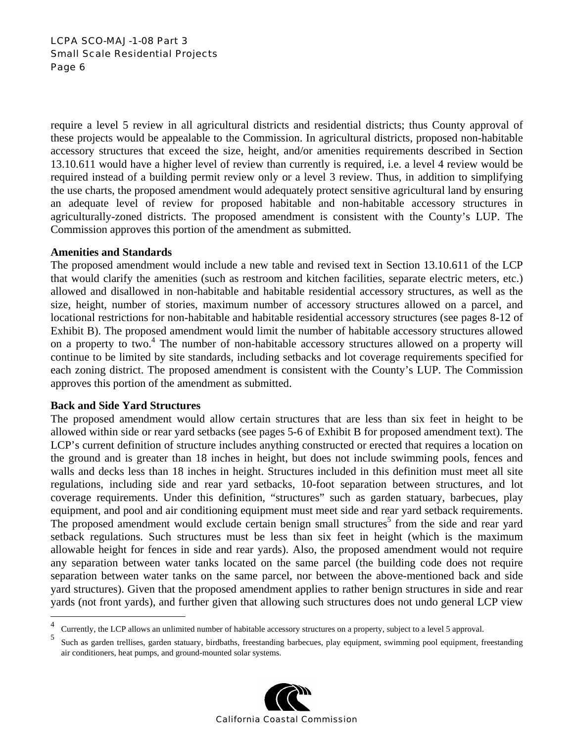# LCPA SCO-MAJ-1-08 Part 3 Small Scale Residential Projects Page 6

require a level 5 review in all agricultural districts and residential districts; thus County approval of these projects would be appealable to the Commission. In agricultural districts, proposed non-habitable accessory structures that exceed the size, height, and/or amenities requirements described in Section 13.10.611 would have a higher level of review than currently is required, i.e. a level 4 review would be required instead of a building permit review only or a level 3 review. Thus, in addition to simplifying the use charts, the proposed amendment would adequately protect sensitive agricultural land by ensuring an adequate level of review for proposed habitable and non-habitable accessory structures in agriculturally-zoned districts. The proposed amendment is consistent with the County's LUP. The Commission approves this portion of the amendment as submitted.

# **Amenities and Standards**

The proposed amendment would include a new table and revised text in Section 13.10.611 of the LCP that would clarify the amenities (such as restroom and kitchen facilities, separate electric meters, etc.) allowed and disallowed in non-habitable and habitable residential accessory structures, as well as the size, height, number of stories, maximum number of accessory structures allowed on a parcel, and locational restrictions for non-habitable and habitable residential accessory structures (see pages 8-12 of Exhibit B). The proposed amendment would limit the number of habitable accessory structures allowed on a property to two.<sup>4</sup> The number of non-habitable accessory structures allowed on a property will continue to be limited by site standards, including setbacks and lot coverage requirements specified for each zoning district. The proposed amendment is consistent with the County's LUP. The Commission approves this portion of the amendment as submitted.

# **Back and Side Yard Structures**

1

The proposed amendment would allow certain structures that are less than six feet in height to be allowed within side or rear yard setbacks (see pages 5-6 of Exhibit B for proposed amendment text). The LCP's current definition of structure includes anything constructed or erected that requires a location on the ground and is greater than 18 inches in height, but does not include swimming pools, fences and walls and decks less than 18 inches in height. Structures included in this definition must meet all site regulations, including side and rear yard setbacks, 10-foot separation between structures, and lot coverage requirements. Under this definition, "structures" such as garden statuary, barbecues, play equipment, and pool and air conditioning equipment must meet side and rear yard setback requirements. The proposed amendment would exclude certain benign small structures<sup>5</sup> from the side and rear yard setback regulations. Such structures must be less than six feet in height (which is the maximum allowable height for fences in side and rear yards). Also, the proposed amendment would not require any separation between water tanks located on the same parcel (the building code does not require separation between water tanks on the same parcel, nor between the above-mentioned back and side yard structures). Given that the proposed amendment applies to rather benign structures in side and rear yards (not front yards), and further given that allowing such structures does not undo general LCP view

<sup>5</sup> Such as garden trellises, garden statuary, birdbaths, freestanding barbecues, play equipment, swimming pool equipment, freestanding air conditioners, heat pumps, and ground-mounted solar systems.



<sup>4</sup> <sup>4</sup> Currently, the LCP allows an unlimited number of habitable accessory structures on a property, subject to a level 5 approval.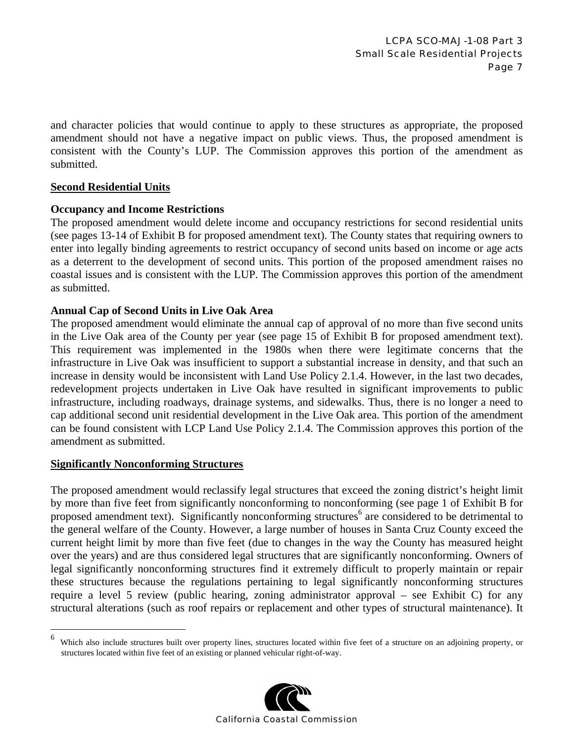and character policies that would continue to apply to these structures as appropriate, the proposed amendment should not have a negative impact on public views. Thus, the proposed amendment is consistent with the County's LUP. The Commission approves this portion of the amendment as submitted.

# **Second Residential Units**

#### **Occupancy and Income Restrictions**

The proposed amendment would delete income and occupancy restrictions for second residential units (see pages 13-14 of Exhibit B for proposed amendment text). The County states that requiring owners to enter into legally binding agreements to restrict occupancy of second units based on income or age acts as a deterrent to the development of second units. This portion of the proposed amendment raises no coastal issues and is consistent with the LUP. The Commission approves this portion of the amendment as submitted.

#### **Annual Cap of Second Units in Live Oak Area**

The proposed amendment would eliminate the annual cap of approval of no more than five second units in the Live Oak area of the County per year (see page 15 of Exhibit B for proposed amendment text). This requirement was implemented in the 1980s when there were legitimate concerns that the infrastructure in Live Oak was insufficient to support a substantial increase in density, and that such an increase in density would be inconsistent with Land Use Policy 2.1.4. However, in the last two decades, redevelopment projects undertaken in Live Oak have resulted in significant improvements to public infrastructure, including roadways, drainage systems, and sidewalks. Thus, there is no longer a need to cap additional second unit residential development in the Live Oak area. This portion of the amendment can be found consistent with LCP Land Use Policy 2.1.4. The Commission approves this portion of the amendment as submitted.

#### **Significantly Nonconforming Structures**

1

The proposed amendment would reclassify legal structures that exceed the zoning district's height limit by more than five feet from significantly nonconforming to nonconforming (see page 1 of Exhibit B for proposed amendment text). Significantly nonconforming structures<sup>6</sup> are considered to be detrimental to the general welfare of the County. However, a large number of houses in Santa Cruz County exceed the current height limit by more than five feet (due to changes in the way the County has measured height over the years) and are thus considered legal structures that are significantly nonconforming. Owners of legal significantly nonconforming structures find it extremely difficult to properly maintain or repair these structures because the regulations pertaining to legal significantly nonconforming structures require a level 5 review (public hearing, zoning administrator approval – see Exhibit C) for any structural alterations (such as roof repairs or replacement and other types of structural maintenance). It

<sup>6</sup> Which also include structures built over property lines, structures located within five feet of a structure on an adjoining property, or structures located within five feet of an existing or planned vehicular right-of-way.

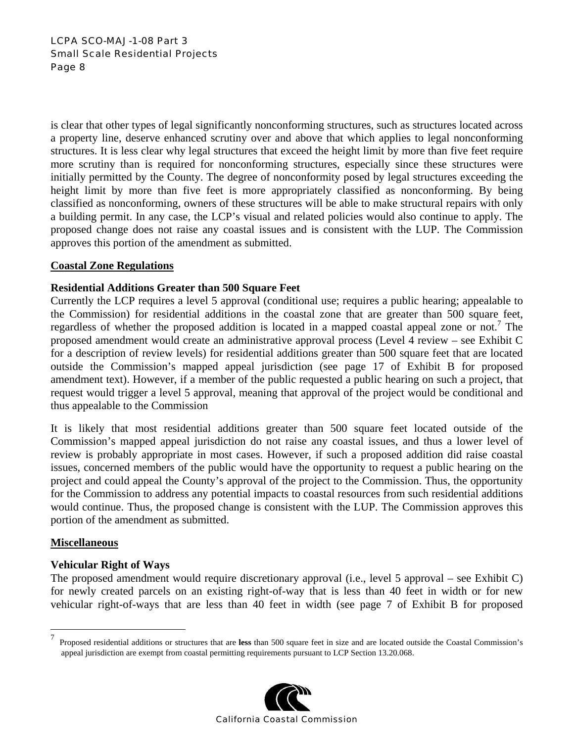# LCPA SCO-MAJ-1-08 Part 3 Small Scale Residential Projects Page 8

is clear that other types of legal significantly nonconforming structures, such as structures located across a property line, deserve enhanced scrutiny over and above that which applies to legal nonconforming structures. It is less clear why legal structures that exceed the height limit by more than five feet require more scrutiny than is required for nonconforming structures, especially since these structures were initially permitted by the County. The degree of nonconformity posed by legal structures exceeding the height limit by more than five feet is more appropriately classified as nonconforming. By being classified as nonconforming, owners of these structures will be able to make structural repairs with only a building permit. In any case, the LCP's visual and related policies would also continue to apply. The proposed change does not raise any coastal issues and is consistent with the LUP. The Commission approves this portion of the amendment as submitted.

# **Coastal Zone Regulations**

# **Residential Additions Greater than 500 Square Feet**

Currently the LCP requires a level 5 approval (conditional use; requires a public hearing; appealable to the Commission) for residential additions in the coastal zone that are greater than 500 square feet, regardless of whether the proposed addition is located in a mapped coastal appeal zone or not.<sup>7</sup> The proposed amendment would create an administrative approval process (Level 4 review – see Exhibit C for a description of review levels) for residential additions greater than 500 square feet that are located outside the Commission's mapped appeal jurisdiction (see page 17 of Exhibit B for proposed amendment text). However, if a member of the public requested a public hearing on such a project, that request would trigger a level 5 approval, meaning that approval of the project would be conditional and thus appealable to the Commission

It is likely that most residential additions greater than 500 square feet located outside of the Commission's mapped appeal jurisdiction do not raise any coastal issues, and thus a lower level of review is probably appropriate in most cases. However, if such a proposed addition did raise coastal issues, concerned members of the public would have the opportunity to request a public hearing on the project and could appeal the County's approval of the project to the Commission. Thus, the opportunity for the Commission to address any potential impacts to coastal resources from such residential additions would continue. Thus, the proposed change is consistent with the LUP. The Commission approves this portion of the amendment as submitted.

# **Miscellaneous**

 $\overline{a}$ 

# **Vehicular Right of Ways**

The proposed amendment would require discretionary approval (i.e., level 5 approval – see Exhibit C) for newly created parcels on an existing right-of-way that is less than 40 feet in width or for new vehicular right-of-ways that are less than 40 feet in width (see page 7 of Exhibit B for proposed

<sup>7</sup> Proposed residential additions or structures that are **less** than 500 square feet in size and are located outside the Coastal Commission's appeal jurisdiction are exempt from coastal permitting requirements pursuant to LCP Section 13.20.068.

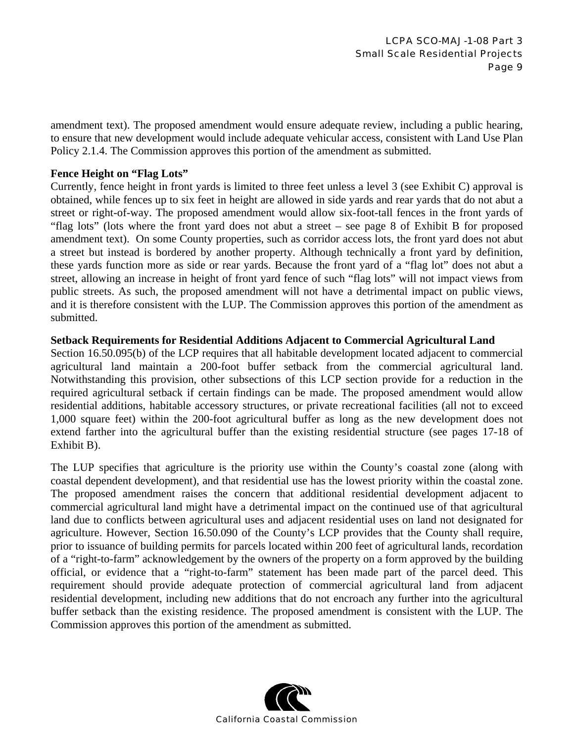amendment text). The proposed amendment would ensure adequate review, including a public hearing, to ensure that new development would include adequate vehicular access, consistent with Land Use Plan Policy 2.1.4. The Commission approves this portion of the amendment as submitted.

# **Fence Height on "Flag Lots"**

Currently, fence height in front yards is limited to three feet unless a level 3 (see Exhibit C) approval is obtained, while fences up to six feet in height are allowed in side yards and rear yards that do not abut a street or right-of-way. The proposed amendment would allow six-foot-tall fences in the front yards of "flag lots" (lots where the front yard does not abut a street – see page 8 of Exhibit B for proposed amendment text). On some County properties, such as corridor access lots, the front yard does not abut a street but instead is bordered by another property. Although technically a front yard by definition, these yards function more as side or rear yards. Because the front yard of a "flag lot" does not abut a street, allowing an increase in height of front yard fence of such "flag lots" will not impact views from public streets. As such, the proposed amendment will not have a detrimental impact on public views, and it is therefore consistent with the LUP. The Commission approves this portion of the amendment as submitted.

#### **Setback Requirements for Residential Additions Adjacent to Commercial Agricultural Land**

Section 16.50.095(b) of the LCP requires that all habitable development located adjacent to commercial agricultural land maintain a 200-foot buffer setback from the commercial agricultural land. Notwithstanding this provision, other subsections of this LCP section provide for a reduction in the required agricultural setback if certain findings can be made. The proposed amendment would allow residential additions, habitable accessory structures, or private recreational facilities (all not to exceed 1,000 square feet) within the 200-foot agricultural buffer as long as the new development does not extend farther into the agricultural buffer than the existing residential structure (see pages 17-18 of Exhibit B).

The LUP specifies that agriculture is the priority use within the County's coastal zone (along with coastal dependent development), and that residential use has the lowest priority within the coastal zone. The proposed amendment raises the concern that additional residential development adjacent to commercial agricultural land might have a detrimental impact on the continued use of that agricultural land due to conflicts between agricultural uses and adjacent residential uses on land not designated for agriculture. However, Section 16.50.090 of the County's LCP provides that the County shall require, prior to issuance of building permits for parcels located within 200 feet of agricultural lands, recordation of a "right-to-farm" acknowledgement by the owners of the property on a form approved by the building official, or evidence that a "right-to-farm" statement has been made part of the parcel deed. This requirement should provide adequate protection of commercial agricultural land from adjacent residential development, including new additions that do not encroach any further into the agricultural buffer setback than the existing residence. The proposed amendment is consistent with the LUP. The Commission approves this portion of the amendment as submitted.

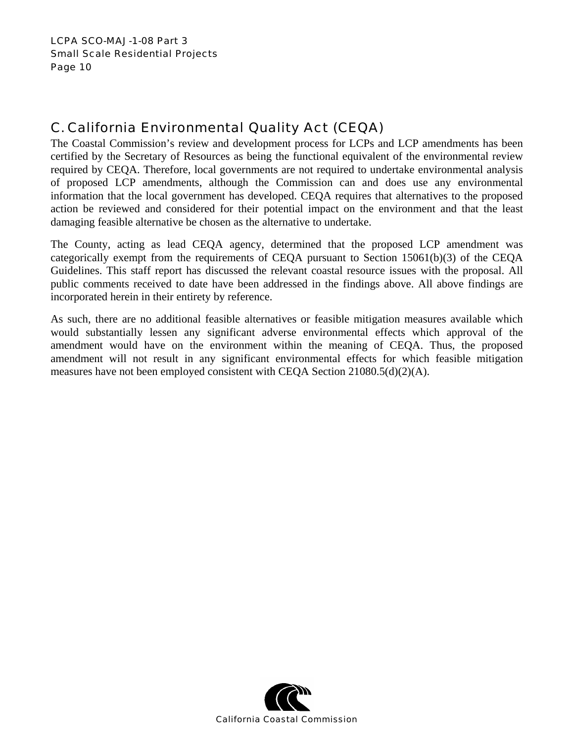# C. California Environmental Quality Act (CEQA)

The Coastal Commission's review and development process for LCPs and LCP amendments has been certified by the Secretary of Resources as being the functional equivalent of the environmental review required by CEQA. Therefore, local governments are not required to undertake environmental analysis of proposed LCP amendments, although the Commission can and does use any environmental information that the local government has developed. CEQA requires that alternatives to the proposed action be reviewed and considered for their potential impact on the environment and that the least damaging feasible alternative be chosen as the alternative to undertake.

The County, acting as lead CEQA agency, determined that the proposed LCP amendment was categorically exempt from the requirements of CEQA pursuant to Section 15061(b)(3) of the CEQA Guidelines. This staff report has discussed the relevant coastal resource issues with the proposal. All public comments received to date have been addressed in the findings above. All above findings are incorporated herein in their entirety by reference.

As such, there are no additional feasible alternatives or feasible mitigation measures available which would substantially lessen any significant adverse environmental effects which approval of the amendment would have on the environment within the meaning of CEQA. Thus, the proposed amendment will not result in any significant environmental effects for which feasible mitigation measures have not been employed consistent with CEQA Section  $21080.5(d)(2)(A)$ .

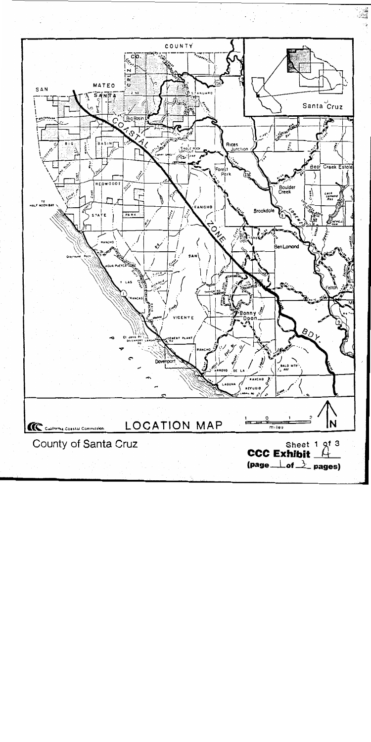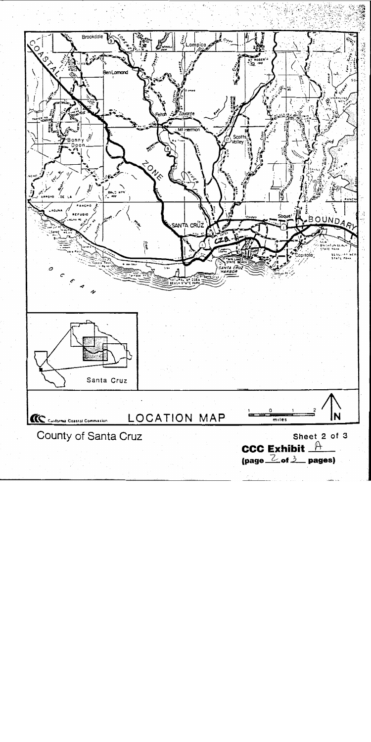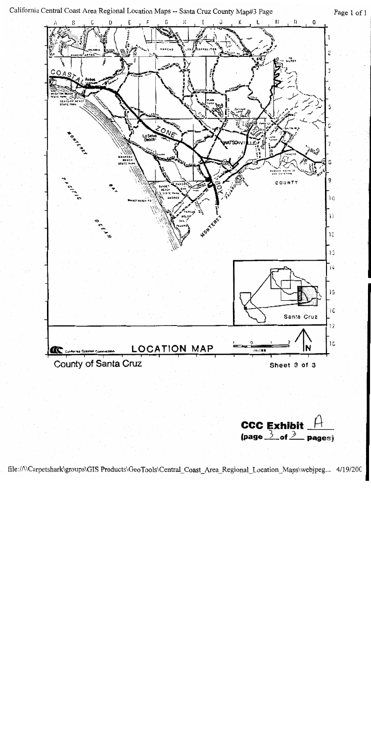

| CCC Exhibit $H$                             |  |
|---------------------------------------------|--|
| (page $\frac{3}{2}$ of $\frac{3}{2}$ pages) |  |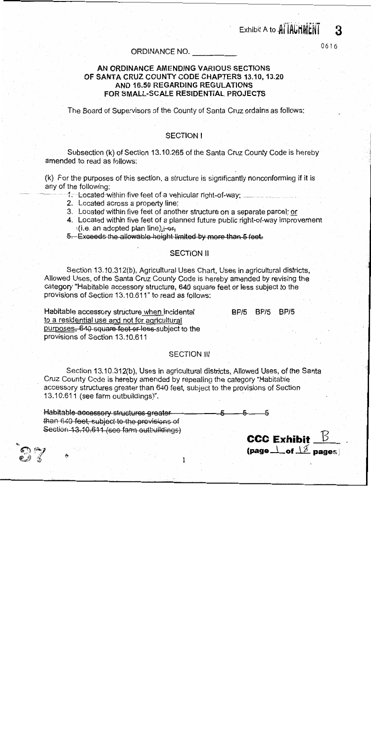Exhibit A to AllAUTHENT

 $\frac{1}{2}$  (page  $\frac{1}{2}$  of  $\frac{1}{2}$  pages)

3

0616

#### ORDINANCE NO.

# AN ORDINANCE AMENDING VARIOUS SECTIONS OF SANTA CRUZ COUNTY CODE CHAPTERS 13.10, 13.20 AND 16.50 REGARDING REGULATIONS FOR SMALL-SCALE RESIDENTIAL PROJECTS

The Board of Supervisors of the County of Santa Cruz ordains as follows:

#### **SECTION I**

Subsection (k) of Section 13.10.265 of the Santa Cruz County Code is hereby amended to read as follows:

(k) For the purposes of this section, a structure is significantly nonconforming if it is any of the following:

- 1. Located-within five feet of a vehicular right-of-way;
- 2. Located across a property line;
- 3. Located within five feet of another structure on a separate parcel; or
- 4. Located within five feet of a planned future public right-of-way improvement (i.e. an adopted plan line).; or,
- 5. Exceeds the allowable height limited by more than 5 feet.

#### **SECTION II**

Section 13.10.312(b), Agricultural Uses Chart, Uses in agricultural districts, Allowed Uses, of the Santa Cruz County Code is hereby amended by revising the category "Habitable accessory structure, 640 square feet or less subject to the provisions of Section 13.10.611" to read as follows:

Habitable accessory structure when incidental BP/5 BP/5 BP/5 to a residential use and not for agricultural purposes, 640 square feet or less subject to the provisions of Section 13.10.611

#### **SECTION III**

Section 13.10.312(b), Uses in agricultural districts, Allowed Uses, of the Santa Cruz County Code is hereby amended by repealing the category "Habitable accessory structures greater than 640 feet, subject to the provisions of Section 13.10.611 (see farm outbuildings)".

Habitable accessory structures greater than 640 feet, subject to the provisions of Section 13-10.611 (see farm outbuildings) **CCC Exhibit**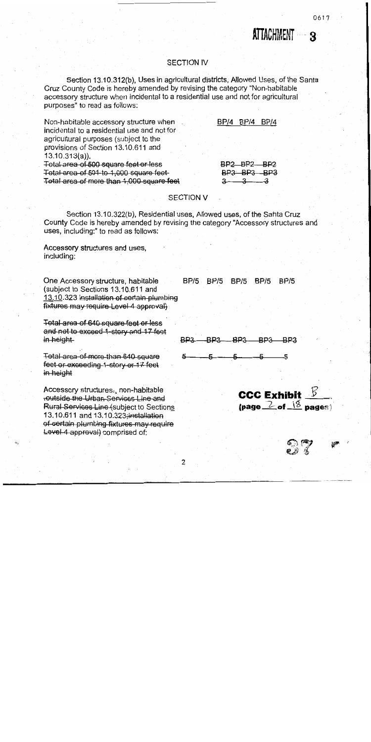# ATTACHMENT R

#### **SECTION IV**

Section 13.10.312(b), Uses in agricultural districts, Allowed Uses, of the Santa Gruz County Code is hereby amended by revising the category "Non-habitable accessory structure when incidental to a residential use and not for agricultural purposes" to read as follows:

BP/4 BP/4 BP/4 Non-habitable accessory structure when incidental to a residential use and not for agricultural purposes (subject to the provisions of Section 13.10.611 and  $13.10.313(a)$ ). BP2 BP2 BP2 Total area of 500 square feet or less Total area of 501-to 1,000 square feet  $BP3$   $BP3$   $BP3$ Total area of more than 1,000 square feet  $\frac{3}{2}$  $\rightarrow$ 

# **SECTION V**

Section 13.10.322(b), Residential uses, Allowed uses, of the Santa Cruz County Code is hereby amended by revising the category "Accessory structures and uses, including:" to read as follows:

Accessory structures and uses, including:

One Accessory structure, habitable (subject to Sections 13.10.611 and 13.10.323 installation of certain plumbing fixtures may require Level 4 approval)

Total area of 640 square feet or less and not to exceed 1-story and 17 feet in height

Total area of more than 640 square feet or exceeding 1-story or 17 feet in height

Accessory structures-, non-habitable outside the Urban Services Line and Rural Services Line (subject to Sections 13.10.611 and 13.10.323; installation of certain plumbing fixtures may require Level 4 approval) comprised of:

BP/5 BP/5 BP/5 BP/5 BP/5

BP3. **BP3**  $BPS$ 

**CCC Exhibit**  $\frac{B}{2}$ (page  $\geq$  of  $\frac{18}{3}$  pages)

 $\overline{2}$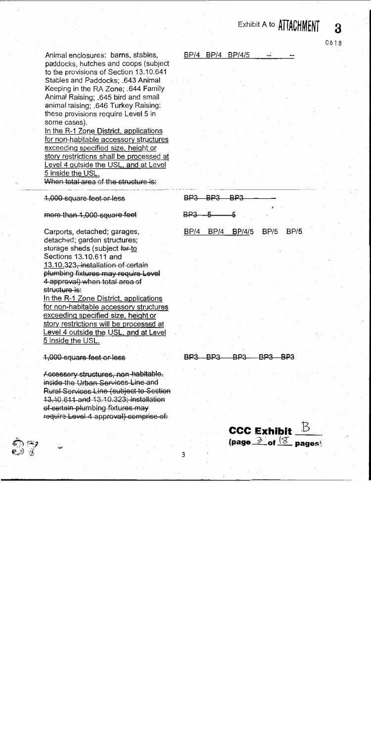# Exhibit A to ATTACHMENT

Animal enclosures: barns, stables, paddocks, hutches and coops (subject to the provisions of Section 13.10.641 Stables and Paddocks; .643 Animal Keeping in the RA Zone; .644 Family Animal Raising: .645 bird and small animal raising; 646 Turkey Raising: these provisions require Level 5 in some cases).

In the R-1 Zone District, applications for non-habitable accessory structures exceeding specified size, height or story restrictions shall be processed at Level 4 outside the USL, and at Level 5 inside the USL. When total area of the structure is:

1,000 square feet or less

more than 1,000 square feet

Carports, detached; garages, detached; garden structures; storage sheds (subject for to Sections 13.10.611 and 13.10.323, installation of certain plumbing fixtures may require Level 4 approval) when total area of structure is: In the R-1 Zone District, applications for non-habitable accessory structures exceeding specified size, height or

story restrictions will be processed at Level 4 outside the USL, and at Level 5 inside the USL.

1,000 square feet or less

Accessory-structures, non-habitable. inside the Urban Services Line and Rural Services Line (subject to Section 13.10.611 and 13.10.323; installation of certain plumbing fixtures may require Level 4 approval) comprise of:

BP/4 BP/4 BP/4/5

0618

႙

**BP3 BP3 BP3** BP3 BP/4 BP/4 BP/4/5

 $BP/5$  $BP/5$ 

BP3 BP3 BP3 -BP3 BP3

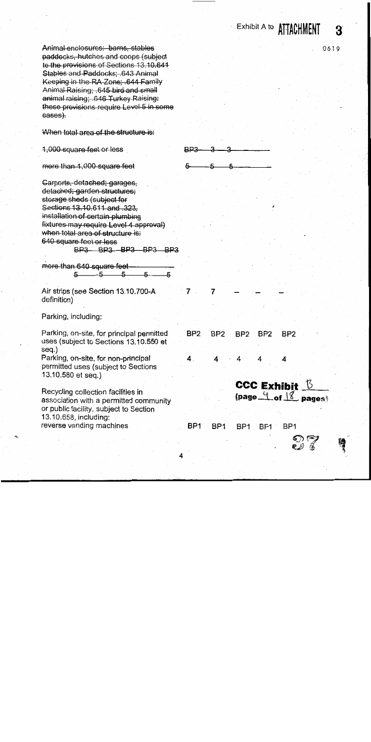Exhibit A to **ATTACHMENT** 3

Animal enclosures: barns, stables paddocks, hutches and coops (subject to the provisions of Sections 13.10.641 Stables and Paddocks; .643 Animal Keeping in the RA-Zone; 644 Family Animal Raising; .645 bird and small animal raising: 646 Turkey Raising: these provisions require Level 5 in some cases).

When total area of the structure-is:

1,000 square feet or less

more than 1,000-square feet

Carports, detached; garages, detached: garden structures: storage sheds (subject for Sections 13.10.611 and 323. installation of certain plumbing fixtures may require Level 4 approval) when total area of structure is: 640 square feet or less BP3 BP3 BP3 BP3 BP3

more than 640 square feet- $5 - 5 - 5$  $\overline{a}$ 

Air strips (see Section 13.10.700-A definition)

Parking, including:

Parking, on-site, for principal permitted uses (subject to Sections 13.10.550 et seq.) Parking, on-site, for non-principal

permitted uses (subject to Sections 13.10.580 et seg.)

Recycling collection facilities in association with a permitted community or public facility, subject to Section 13.10.658, including: reverse vending machines

0619



BP<sub>1</sub> BP<sub>1</sub> BP<sub>1</sub> BP<sub>1</sub> BP<sub>1</sub>

BP<sub>2</sub>

4

BP<sub>2</sub>

4

BP<sub>2</sub>

4

CCC Exhibit  $\sqrt{5}$ 

 $\frac{4}{100}$  of  $\frac{10}{100}$  pages

7

BP<sub>2</sub>

4.

7

BP<sub>2</sub>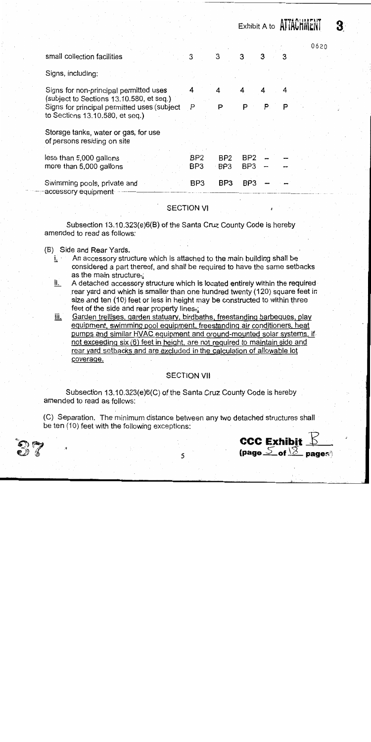|                                                                                                                                                                      |                                    |                                    | Exhibit A to <b>AllAUTINEN</b>     |    |        |      |  |
|----------------------------------------------------------------------------------------------------------------------------------------------------------------------|------------------------------------|------------------------------------|------------------------------------|----|--------|------|--|
| small collection facilities                                                                                                                                          | 3                                  | З                                  | 3                                  | 3  | 3      | 0620 |  |
| Signs, including:                                                                                                                                                    |                                    |                                    |                                    |    |        |      |  |
| Signs for non-principal permitted uses<br>(subject to Sections 13.10.580, et seq.)<br>Signs for principal permitted uses (subject<br>to Sections 13.10.580, et seq.) | 4<br>$\mathsf{P}$                  | 4<br>P                             | P                                  | P. | 4<br>P |      |  |
| Storage tanks, water or gas, for use<br>of persons residing on site                                                                                                  |                                    |                                    |                                    |    |        |      |  |
| less than 5,000 gallons<br>more than 5,000 gallons                                                                                                                   | BP <sub>2</sub><br>BP <sub>3</sub> | BP <sub>2</sub><br>BP <sub>3</sub> | BP <sub>2</sub><br>BP <sub>3</sub> |    |        |      |  |
| Swimming pools, private and<br>accessory equipment <sup>.</sup>                                                                                                      | BP3                                | BP <sub>3</sub>                    | BP <sub>3</sub>                    |    |        |      |  |

## **SECTION VI**

Subsection 13.10.323(e)6(B) of the Santa Cruz County Code is hereby amended to read as follows:

#### (B) Side and Rear Yards.

- An accessory structure which is attached to the main building shall be i. considered a part thereof, and shall be required to have the same setbacks as the main structure.:
- A detached accessory structure which is located entirely within the required <u>ii. </u> rear yard and which is smaller than one hundred twenty (120) square feet in size and ten (10) feet or less in height may be constructed to within three feet of the side and rear property lines.
- <u>iii.</u> Garden trellises, garden statuary, birdbaths, freestanding barbeques, play equipment, swimming pool equipment, freestanding air conditioners, heat pumps and similar HVAC equipment and ground-mounted solar systems, if not exceeding six (6) feet in height, are not required to maintain side and rear yard setbacks and are excluded in the calculation of allowable lot coverage.

# **SECTION VII**

Subsection 13.10.323(e)6(C) of the Santa Cruz County Code is hereby amended to read as follows:

(C) Separation. The minimum distance between any two detached structures shall be ten (10) feet with the following exceptions:



**ATTAPUMENT**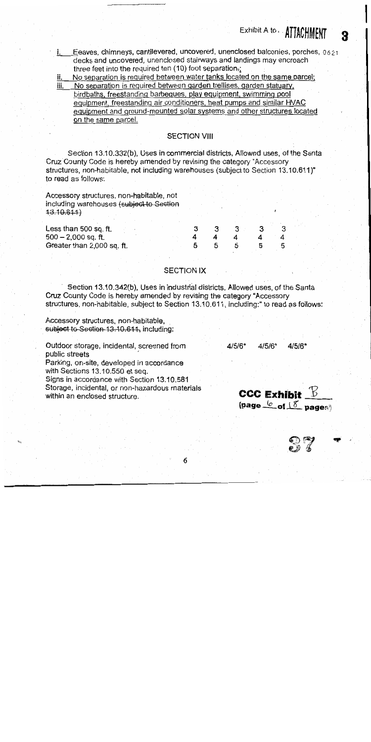Eeaves, chimneys, cantilevered, uncovered, unenclosed balconies, porches, 0621 i. decks and uncovered, unenclosed stairways and landings may encroach three feet into the required ten (10) foot separation.;

No separation is required between water tanks located on the same parcel; ii. No separation is required between garden trellises, garden statuary, iii. birdbaths, freestanding barbeques, play equipment, swimming pool equipment, freestanding air conditioners, heat pumps and similar HVAC equipment and ground-mounted solar systems and other structures located

on the same parcel.

#### **SECTION VIII**

Section 13.10.332(b), Uses in commercial districts, Allowed uses, of the Santa Cruz County Code is hereby amended by revising the category "Accessory structures, non-habitable, not including warehouses (subject to Section 13.10.611)" to read as follows:

Accessory structures, non-habitable, not including warehouses (subject to Section  $43.10.641$ 

| Less than 500 sq. ft.      |  |  |  |  |   |
|----------------------------|--|--|--|--|---|
| $500 - 2,000$ sq. ft.      |  |  |  |  |   |
| Greater than 2,000 sq. ft. |  |  |  |  | Ю |
|                            |  |  |  |  |   |

## **SECTION IX**

Section 13.10.342(b), Uses in industrial districts, Allowed uses, of the Santa Cruz County Code is hereby amended by revising the category "Accessory structures, non-habitable, subject to Section 13.10.611, including:" to read as follows:

Accessory structures, non-habitable, subject to Section 13.10.611, including:

Outdoor storage, incidental, screened from public streets

Parking, on-site, developed in accordance with Sections 13.10.550 et seq.

Signs in accordance with Section 13.10.581 Storage, incidental, or non-hazardous materials within an enclosed structure.

4/5/6\*  $4/5/6*$  $4/5/6"$ 

CCC Exhibit  $\mathbb B$ (page  $\frac{6}{5}$  of  $15$  pages)

Exhibit A to . ATTACHMENT

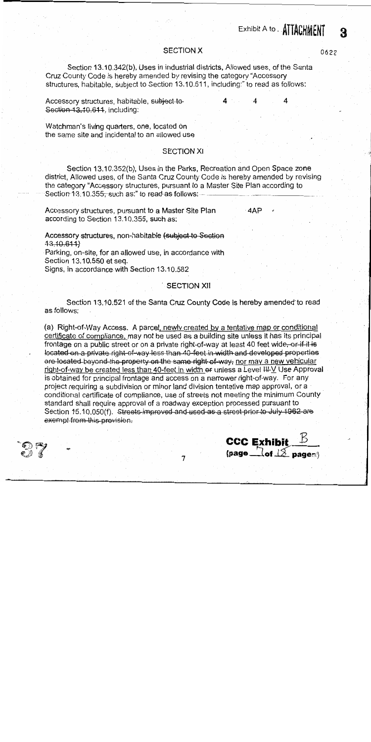# Exhibit A to . ATTACHMENT

## **SECTION X**

Section 13.10.342(b), Uses in industrial districts, Allowed uses, of the Santa Cruz County Code is hereby amended by revising the category "Accessory structures, habitable, subject to Section 13.10.611, including:" to read as follows:

Accessory structures, habitable, subject to-4 Section 13.10.611, including:

Watchman's living quarters, one, located on the same site and incidental to an allowed use

#### **SECTION XI**

Section 13.10.352(b), Uses in the Parks, Recreation and Open Space zone district, Allowed uses, of the Santa Cruz County Code is hereby amended by revising the category "Accessory structures, pursuant to a Master Site Plan according to Section 13:10.355, such as:" to read-as follows:

Accessory structures, pursuant to a Master Site Plan according to Section 13.10.355, such as:

4AP

## Accessory structures, non-habitable (subject to Section  $43.10.611$

Parking, on-site, for an allowed use, in accordance with Section 13.10.550 et seq.

Signs, in accordance with Section 13.10.582

#### **SECTION XII**

Section 13.10.521 of the Santa Cruz County Code is hereby amended to read as follows:

(a) Right-of-Way Access. A parcel, newly created by a tentative map or conditional certificate of compliance, may not be used as a building site unless it has its principal frontage on a public street or on a private right-of-way at least 40 feet wide, or if it is located on a private right-of-way-less than 40-feet in width and developed properties are located beyond the property on the same right of way, nor may a new vehicular right-of-way be created less than 40-feet in width or unless a Level III-V Use Approval is obtained for principal frontage and access on a narrower right-of-way. For any project requiring a subdivision or minor land division tentative map approval, or a conditional certificate of compliance, use of streets not meeting the minimum County standard shall require approval of a roadway exception processed pursuant to Section 15,10,050(f). Streets-improved and used as a street prior to July 1962 are exempt from this provision.



#### $\overline{7}$

0622

વ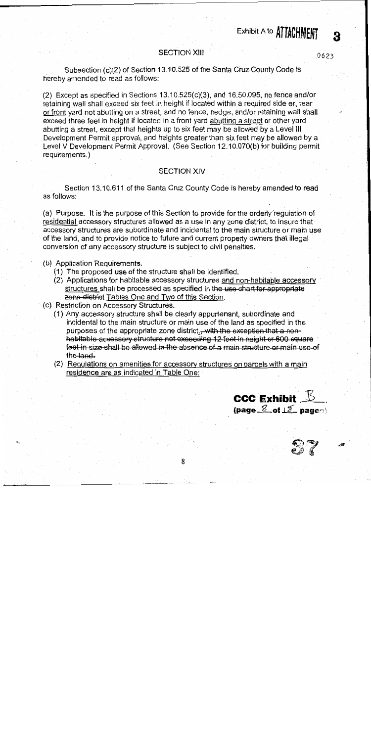# **SECTION XIII**

0623

Я

Subsection (c)(2) of Section 13.10.525 of the Santa Cruz County Code is hereby amended to read as follows:

 $(2)$  Except as specified in Sections 13.10.525 $(c)(3)$ , and 16.50.095, no fence and/or retaining wall shall exceed six feet in height if located within a required side or, rear or front yard not abutting on a street, and no fence, hedge, and/or retaining wall shall exceed three feet in height if located in a front yard abutting a street or other yard abutting a street, except that heights up to six feet may be allowed by a Level III Development Permit approval, and heights greater than six feet may be allowed by a Level V Development Permit Approval. (See Section 12.10.070(b) for building permit requirements.)

# **SECTION XIV**

Section 13.10.611 of the Santa Cruz County Code is hereby amended to read as follows:

(a) Purpose. It is the purpose of this Section to provide for the orderly regulation of residential accessory structures allowed as a use in any zone district, to insure that accessory structures are subordinate and incidental to the main structure or main use of the land, and to provide notice to future and current property owners that illegal conversion of any accessory structure is subject to civil penalties.

(b) Application Requirements.

- (1) The proposed use of the structure shall be identified.
- (2) Applications for habitable accessory structures and non-habitable accessory structures shall be processed as specified in the use chart for-appropriate zone district Tables One and Two of this Section.
- (c) Restriction on Accessory Structures.
	- (1) Any accessory structure shall be clearly appurtenant, subordinate and incidental to the main structure or main use of the land as specified in the purposes of the appropriate zone district... with the exception that a nonhabitable accessory structure not exceeding 12 feet in height or 600 square feet in size shall be allowed in the absence of a main structure or main use of the land.
	- (2) Regulations on amenities for accessory structures on parcels with a main residence are as indicated in Table One:



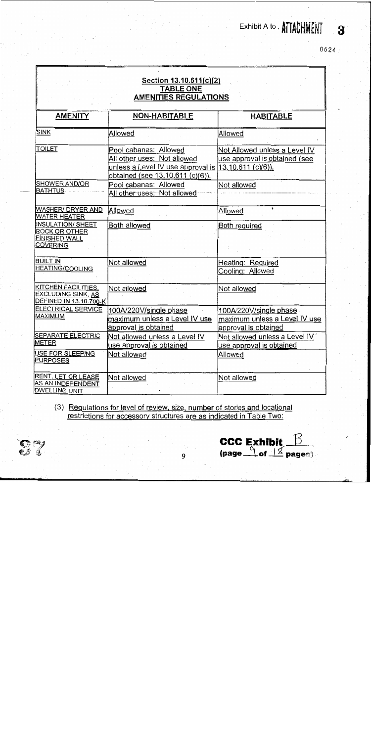Exhibit A to . **ATTACHMENT** 

0624

 $\mathbf{R}$ 

#### Section 13.10.611(c)(2) **TABLE ONE AMENITIES REGULATIONS AMENITY NON-HABITABLE HABITABLE SINK** Allowed Allowed **TOILET** Pool cabanas: Allowed Not Allowed unless a Level IV All other uses: Not allowed use approval is obtained (see unless a Level IV use approval is  $(13.10.611 \, (c)(6))$ . obtained (see 13.10.611 (c)(6)). SHOWER AND/OR Pool cabanas: Allowed Not allowed **BATHTUB** All other uses: Not allowed WASHER/ DRYER AND Allowed Allowed **WATER HEATER** INSULATION/ SHEET Both allowed Both required **ROCK OR OTHER FINISHED WALL COVERING BUILT IN** Not allowed Heating: Required **HEATING/COOLING** Cooling: Allowed KITCHEN FACILITIES. Not allowed Not allowed **EXCLUDING SINK, AS DEFINED IN 13.10.700-K ELECTRICAL SERVICE** 100A/220V/single phase 100A/220V/single phase **MAXIMUM** maximum unless a Level IV use maximum unless a Level IV use approval is obtained approval is obtained **SEPARATE ELECTRIC** Not allowed unless a Level IV Not allowed unless a Level IV METER use approval is obtained use approval is obtained USE FOR SLEEPING Not allowed Allowed **PURPOSES** RENT, LET OR LEASE Not allowed Not allowed AS AN INDEPENDENT **DWELLING UNIT**

(3) Regulations for level of review, size, number of stories and locational restrictions for accessory structures are as indicated in Table Two:

9





**CCC Exhibit** 

(page  $\sqrt{\frac{9}{5}}$  of  $\sqrt{\frac{9}{5}}$  pages)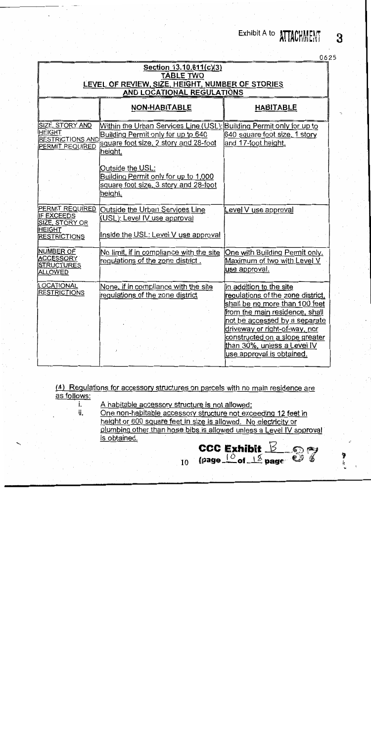# Exhibit A to **ATTACHMENT**

| ſ |  |  |
|---|--|--|

3

| Section 13.10.611(c)(3)<br><b>TABLE TWO</b><br>LEVEL OF REVIEW, SIZE, HEIGHT, NUMBER OF STORIES<br>AND LOCATIONAL REGULATIONS |                                                                                                                                                                |                                                                                                                                                                                                                                                                                                  |  |  |  |  |
|-------------------------------------------------------------------------------------------------------------------------------|----------------------------------------------------------------------------------------------------------------------------------------------------------------|--------------------------------------------------------------------------------------------------------------------------------------------------------------------------------------------------------------------------------------------------------------------------------------------------|--|--|--|--|
|                                                                                                                               | <b>NON-HABITABLE</b>                                                                                                                                           | <b>HABITABLE</b>                                                                                                                                                                                                                                                                                 |  |  |  |  |
| SIZE, STORY AND<br><b>HEIGHT</b><br><b>RESTRICTIONS AND</b><br>PERMIT REQUIRED                                                | Within the Urban Services Line (USL); Building Permit only for up to<br>Building Permit only for up to 640<br>square foot size, 2 story and 28-foot<br>height. | 640 square foot size, 1 story<br>and 17-foot height.                                                                                                                                                                                                                                             |  |  |  |  |
|                                                                                                                               | Outside the USL:<br>Building Permit only for up to 1,000<br>square foot size, 3 story and 28-foot<br>height.                                                   |                                                                                                                                                                                                                                                                                                  |  |  |  |  |
| <b>PERMIT REQUIRED</b><br>IF EXCEEDS<br>SIZE, STORY OR<br>HEIGHT<br><b>RESTRICTIONS</b>                                       | Outside the Urban Services Line<br>(USL): Level IV use approval<br>Inside the USL: Level V use approval                                                        | Level V use approval                                                                                                                                                                                                                                                                             |  |  |  |  |
| NUMBER OF<br><b>ACCESSORY</b><br><u>STRUCTURES</u><br><b>ALLOWED</b>                                                          | No limit, if in compliance with the site<br>requiations of the zone district.                                                                                  | One with Building Permit only.<br>Maximum of two with Level V<br>use approval.                                                                                                                                                                                                                   |  |  |  |  |
| LOCATIONAL<br><b>RESTRICTIONS</b>                                                                                             | None, if in compliance with the site<br>regulations of the zone district                                                                                       | In addition to the site<br>regulations of the zone district,<br>shall be no more than 100 feet<br>from the main residence, shall<br>not be accessed by a separate<br>driveway or right-of-way, nor<br>constructed on a slope greater<br>than 30%, unless a Level IV<br>use approval is obtained. |  |  |  |  |

(4) Regulations for accessory structures on parcels with no main residence are as follows:

 $10<sup>10</sup>$ 

A habitable accessory structure is not allowed:

i.

ii. One non-habitable accessory structure not exceeding 12 feet in height or 600 square feet in size is allowed. No electricity or plumbing other than hose bibs is allowed unless a Level IV approval is obtained. CCC Exhibit  $\frac{B}{2}$   $\frac{B}{2}$   $\frac{B}{2}$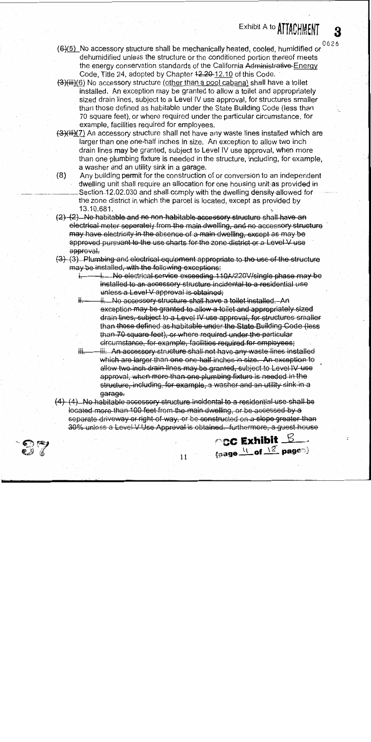0626

3

Exhibit A to **ATTACHMENT** 

- (6)(5) No accessory structure shall be mechanically heated, cooled, humidified or dehumidified unless the structure or the conditioned portion thereof meets the energy conservation standards of the California Administrative-Energy Code, Title 24, adopted by Chapter 42,20-12.10 of this Code.
- $(3)$ (iii)(6) No accessory structure (other than a pool cabana) shall have a toilet installed. An exception may be granted to allow a toilet and appropriately sized drain lines, subject to a Level IV use approval, for structures smaller than those defined as habitable under the State Building Code (less than 70 square feet), or where required under the particular circumstance, for example, facilities required for employees.
- (3)(iii)(7) An accessory structure shall not have any waste lines installed which are larger than one one-half inches in size. An exception to allow two inch drain lines may be granted, subject to Level IV use approval, when more than one plumbing fixture is needed in the structure, including, for example, a washer and an utility sink in a garage.
- Any building permit for the construction of or conversion to an independent  $(8)$ dwelling unit shall require an allocation for one housing unit as provided in Section 12.02.030 and shall comply with the dwelling density-allowed for the zone district in which the parcel is located, except as provided by 13.10.681.
- (2) (2) No habitable and no non-habitable accessory structure shall have an electrical meter separately from the main dwelling, and no accessory structure may have electricity in the absence of a main dwelling, except as may be approved pursuant to the use charts for the zone-district or a Level V use approval.
- (3) (3) Plumbing and electrical equipment appropriate to the use of the structure may be installed, with the following exceptions:
	- i.....No electrical service exceeding 110A/220V/single phase may be installed to an accessory structure incidental to a residential use unless a Level V approval is obtained.
	- ii. No accessory structure shall have a toilet installed. An exception may be granted to allow a toilet and appropriately sized drain lines, subject to a Level IV use approval, for structures smaller than those defined as habitable under the State-Building Code (less than 70 square feet), or where required under the particular circumstance, for example, facilities required for employees;
	- ₩÷ <del>iii. An accessory structure shall not have any waste lines installed</del> which are larger than one one-half inches in size. An exception to allow two inch drain lines may be granted, subject to Level IV use approval, when more than one plumbing fixture is needed in the structure, including, for example, a washer and an utility sink in a garage.

 $\circ$ cC Exhibit  $\mathcal{L}$ 

(page \L\_of \\ codes)

 $(4)$   $(4)$  No habitable accessory structure incidental to a residential use shall be located more than 100 feet from the main dwelling, or be accessed by a separate driveway or right of way, or be constructed on a slope greater than 30% unless a Level V Use Approval is obtained. furthermore, a guest house



 $\overline{11}$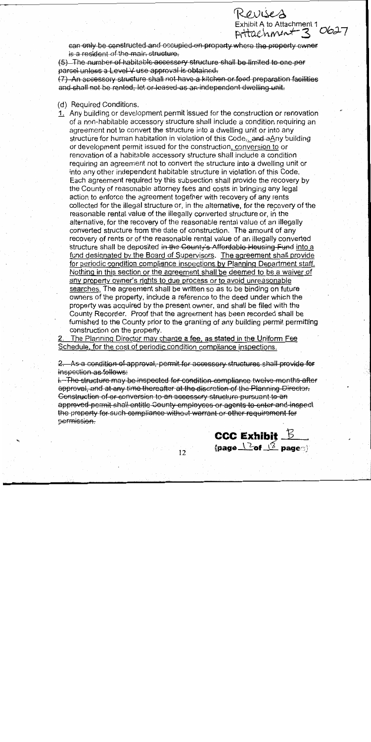can only be constructed and occupied on property where the property owner is a resident of the main structure.

Revises

Exhibit A to Attachment 1 0627

(5) The number of habitable accessory structure shall be limited to one per parcel unless a Level V use approval is obtained.

(7) An accessory structure shall not have a kitchen or food preparation facilities and shall not be rented. let or leased as an independent dwelling unit.

#### (d) Required Conditions.

1. Any building or development permit issued for the construction or renovation of a non-habitable accessory structure shall include a condition requiring an agreement not to convert the structure into a dwelling unit or into any structure for human habitation in violation of this Code<sub>r</sub>. and aAny building or development permit issued for the construction, conversion to or renovation of a habitable accessory structure shall include a condition requiring an agreement not to convert the structure into a dwelling unit or into any other independent habitable structure in violation of this Code. Each agreement required by this subsection shall provide the recovery by the County of reasonable attorney fees and costs in bringing any legal action to enforce the agreement together with recovery of any rents collected for the illegal structure or, in the alternative, for the recovery of the reasonable rental value of the illegally converted structure or, in the alternative, for the recovery of the reasonable rental value of an illegally converted structure from the date of construction. The amount of any recovery of rents or of the reasonable rental value of an illegally converted structure shall be deposited in the County's Affordable Housing Fund into a fund designated by the Board of Supervisors. The agreement shall provide for periodic condition compliance inspections by Planning Department staff. Nothing in this section or the agreement shall be deemed to be a waiver of any property owner's rights to due process or to avoid unreasonable searches. The agreement shall be written so as to be binding on future owners of the property, include a reference to the deed under which the property was acquired by the present owner, and shall be filed with the County Recorder. Proof that the agreement has been recorded shall be furnished to the County prior to the granting of any building permit permitting construction on the property.

The Planning Director may charge a fee, as stated in the Uniform Fee Schedule, for the cost of periodic condition compliance inspections.

2. As a condition of approval, permit for accessory structures shall provide for inspection as follows:

i. The structure may be inspected for condition compliance twelve months after approval, and at any time thereafter at the discretion of the Planning Director. Construction of or conversion to an accessory structure pursuant to an approved permit shall entitle County employees or agents to enter and inspect the property for such compliance without warrant or other requirement for bermission.

 $12<sup>2</sup>$ 

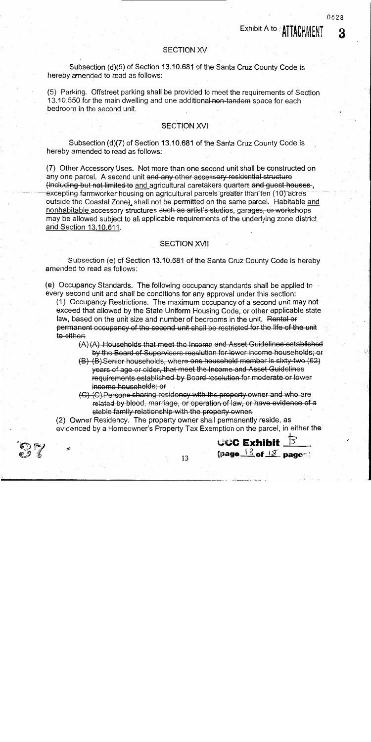0628

З

#### **SECTION XV**

Subsection (d)(5) of Section 13.10.681 of the Santa Cruz County Code is hereby amended to read as follows:

(5) Parking. Offstreet parking shall be provided to meet the requirements of Section 13.10.550 for the main dwelling and one additional non-tandem space for each bedroom in the second unit.

# **SECTION XVI**

Subsection (d)(7) of Section 13.10.681 of the Santa Cruz County Code is hereby amended to read as follows:

(7) Other Accessory Uses. Not more than one second unit shall be constructed on any one parcel. A second unit and any other accessory residential structure (including but not limited to and agricultural caretakers quarters and guest houses. excepting farmworker housing on agricultural parcels greater than ten (10) acres outside the Coastal Zone), shall not be permitted on the same parcel. Habitable and nonhabitable accessory structures such as-artist's studios, garages, or workshops may be allowed subject to all applicable requirements of the underlying zone district and Section 13.10.611.

# **SECTION XVII**

Subsection (e) of Section 13.10.681 of the Santa Cruz County Code is hereby amended to read as follows:

(e) Occupancy Standards. The following occupancy standards shall be applied to every second unit and shall be conditions for any approval under this section:

(1) Occupancy Restrictions. The maximum occupancy of a second unit may not exceed that allowed by the State Uniform Housing Code, or other applicable state law, based on the unit size and number of bedrooms in the unit. Rental or permanent occupancy of the second unit shall be restricted for the life of the unit to either:

- $(A)$   $(A)$ . Households that meet the Income and Asset Guidelines established by the Board of Supervisors resolution for lower income households; or
- (B) (B) Senior households, where one household member is sixty-two (62) years of age or older, that meet the Income and Asset Guidelines requirements established by Board resolution for moderate or lower income households; or
- (G) (C) Persons sharing residency with the property owner and who are related by blood, marriage, or operation of law, or have evidence of a stable family relationship with the property owner.

(page  $\frac{13}{2}$ of  $\frac{12}{2}$  pages)

(2) Owner Residency. The property owner shall permanently reside, as evidenced by a Homeowner's Property Tax Exemption on the parcel, in either the

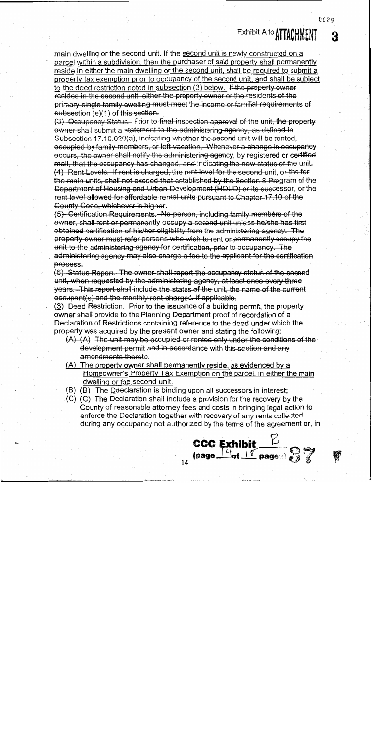main dwelling or the second unit. If the second unit is newly constructed on a parcel within a subdivision, then the purchaser of said property shall permanently reside in either the main dwelling or the second unit, shall be required to submit a property tax exemption prior to occupancy of the second unit, and shall be subject to the deed restriction noted in subsection (3) below. If the property owner resides in the second unit, either the property owner or the residents of the primary single family dwelling must meet the income or familial requirements of subsection (e)(1) of this section.

(3) Occupancy Status. Prior to final inspection approval of the unit, the property owner shall submit a statement to the administering agency, as defined in Subsection 17.10.020(a), indicating whether the second unit will be rented, occupied by family members, or left vacation. Whenever a change in occupancy occurs, the owner shall notify the administering agency, by registered or certified mail, that the occupancy has changed, and indicating the new status of the unit. (4) Rent Levels. If rent is charged, the rent level for the second unit, or the for the main units, shall not exceed that established by the Section 8 Program of the Department of Housing and Urban Development (HOUD) or its successor, or the rent level allowed for affordable rental units pursuant to Chapter 17.10 of the County Code, whichever is higher.

(5) Certification Requirements. No person, including family members of the ewner, shall rent or permanently occupy a second unit unless he/she has first obtained certification of his/her eligibility from the administering agency. The property owner must refer persons who wish to rent or permanently occupy the unit to the administering agency for certification, prior to occupancy. The administering agency may also charge a fee to the applicant for the certification process.

(6) Status Report. The owner shall report the occupancy status of the second unit, when requested by the administering agency, at least once every three years. This report shall include the status of the unit, the name of the current eccupant(s) and the monthly rent charged, if applicable.

 $(3)$  Deed Restriction. Prior to the issuance of a building permit, the property owner shall provide to the Planning Department proof of recordation of a Declaration of Restrictions containing reference to the deed under which the property was acquired by the present owner and stating the following:

- $(A)$   $(A)$ . The unit may be occupied or rented only under the conditions of the development permit and in accordance with this section and any amendments thereto.
- (A) The property owner shall permanently reside, as evidenced by a Homeowner's Property Tax Exemption on the parcel, in either the main dwelling or the second unit.
- (B) (B) The Detectaration is binding upon all successors in interest;
- (C) (C) The Declaration shall include a provision for the recovery by the County of reasonable attorney fees and costs in bringing legal action to enforce the Declaration together with recovery of any rents collected during any occupancy not authorized by the terms of the agreement or, in



髎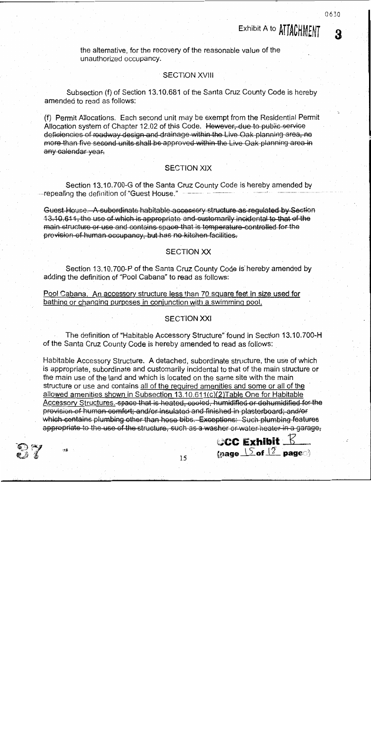R

# Exhibit A to ATTACHMENT

the alternative, for the recovery of the reasonable value of the unauthorized occupancy.

#### **SECTION XVIII**

Subsection (f) of Section 13.10.681 of the Santa Cruz County Code is hereby amended to read as follows:

(f) Permit Allocations. Each second unit may be exempt from the Residential Permit Allocation system of Chapter 12.02 of this Code. However, due to public service deficiencies of roadway design and drainage within the Live Oak planning area, no more than five second units shall be approved within the Live Oak planning area in any calendar vear.

### **SECTION XIX**

Section 13.10.700-G of the Santa Cruz County Code is hereby amended by --repealing the definition of "Guest House."

Guest House. A subordinate habitable accessory structure as regulated by Section 13.10.611, the use of which is appropriate and customarily incidental to that of the main structure or use and contains space that is temperature-controlled for the provision of human occupancy, but has no kitchen facilities.

#### **SECTION XX**

Section 13.10.700-P of the Santa Cruz County Code is hereby amended by adding the definition of "Pool Cabana" to read as follows:

Pool Cabana. An accessory structure less than 70 square feet in size used for bathing or changing purposes in conjunction with a swimming pool.

#### **SECTION XXI**

The definition of "Habitable Accessory Structure" found in Section 13.10.700-H of the Santa Cruz County Code is hereby amended to read as follows:

Habitable Accessory Structure. A detached, subordinate structure, the use of which is appropriate, subordinate and customarily incidental to that of the main structure or the main use of the land and which is located on the same site with the main structure or use and contains all of the required amenities and some or all of the allowed amenities shown in Subsection 13.10.611(c)(2)Table One for Habitable Accessory Structures. space that is heated, cooled, humidified or dehumidified for the provision of human comfort; and/or insulated and finished in plasterboard; and/or which contains plumbing other than hose bibs. Exceptions: Such plumbing features appropriate to the use of the structure, such as a washer or water heater in a garage,



.<br>≴÷

 $\circ$ CC Exhibit  $\mathbb E$ 

(page  $15$  of  $12$  page)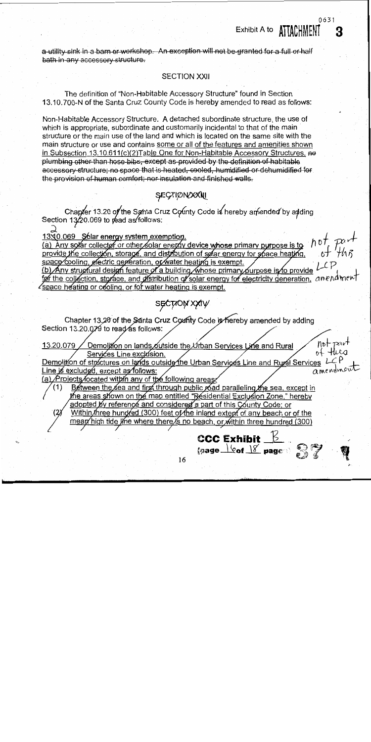a utility sink in a barn or workshop. An exception will not be granted for a full or half bath in any accessory structure.

#### **SECTION XXII**

0631

Exhibit A to **ATTACHMENT** 

The definition of "Non-Habitable Accessory Structure" found in Section 13.10.700-N of the Santa Cruz County Code is hereby amended to read as follows:

Non-Habitable Accessory Structure. A detached subordinate structure, the use of which is appropriate, subordinate and customarily incidental to that of the main structure or the main use of the land and which is located on the same site with the main structure or use and contains some or all of the features and amenities shown in Subsection 13.10.611(c)(2) Table One for Non-Habitable Accessory Structures. no plumbing other than hose bibs, except as provided by the definition of habitable accessory structure; no space that is heated, cooled, humidified or dehumidified for the provision of human comfort; nor insulation and finished walls.

# SECTIONOXALL

Chapter 13.20 of the Santa Cruz County Code is hereby amended by adding<br>Section 13/20.069 to read as follows:

13X0.069 Sólar energy system exemption. (a) Any solar collector or other solar energy device whose primary purpose is to  $h$  of  $p$   $a$   $\overline{r}$  part provide the collector or other solar energy device whose primary purpose is to  $h$  of  $p$   $a$   $\overline{r}$  provide space cooling, electric generation, or water heating is exempt. (b) Any structural design feature of a building whose primary purpose is to provide LCP for the collection, storage, and distribution of solar energy for electricity generation, anend ment  $\ell$  space heating or cooling, or for water heating is exempt.

# sechon xxin

Chapter 13,20 of the Santa Cruz County Code is hereby amended by adding Section 13.20.079 to read as follows:

Services Line exclusion.<br>Demolition of structures on lands outside the Urban Services Line and Rural Services L of Hurst<br>Line is excluded, except as follows:<br>(a) Projects focated within any of the follow of the following

Between the sea and first through public road paralleling the sea, except in the areas shown on the map entitled "Residential Exclusion Zone," hereby adopted by reference and considered a part of this County Code; or Within three hundred (300) feet of the inland extent of any beach or of the

mean high tide line where there is no beach, or within three hundred (300)

16

 $\frac{1}{6}$  (page  $\frac{1}{6}$   $\frac{1}{6}$   $\frac{1}{6}$   $\frac{1}{6}$   $\frac{1}{6}$   $\frac{1}{6}$   $\frac{1}{6}$   $\frac{1}{6}$   $\frac{1}{6}$   $\frac{1}{6}$   $\frac{1}{6}$   $\frac{1}{6}$   $\frac{1}{6}$   $\frac{1}{6}$   $\frac{1}{6}$   $\frac{1}{6}$   $\frac{1}{6}$   $\frac{1}{6}$   $\frac{1}{6}$   $\frac{1}{6}$   $\frac{1$ 

**CCC Exhibit**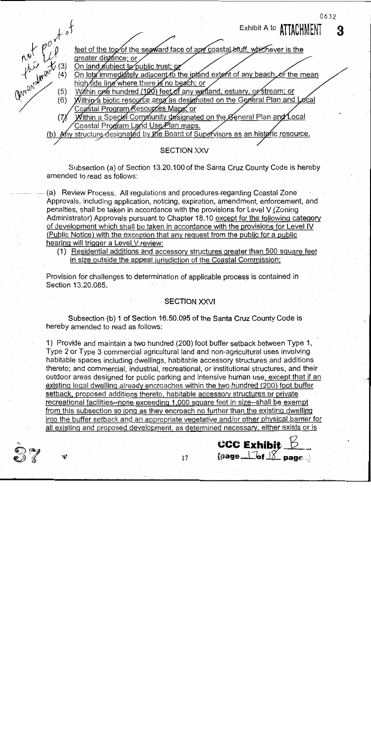

# **SECTION XXV**

Subsection (a) of Section 13.20.100 of the Santa Cruz County Code is hereby amended to read as follows:

(a) Review Process. All regulations and procedures-regarding Coastal Zone Approvals, including application, noticing, expiration, amendment, enforcement, and penalties, shall be taken in accordance with the provisions for Level V (Zoning Administrator) Approvals pursuant to Chapter 18.10 except for the following category of development which shall be taken in accordance with the provisions for Level IV (Public Notice) with the exception that any request from the public for a public hearing will trigger a Level V review:

(1) Residential additions and accessory structures greater than 500 square feet in size outside the appeal jurisdiction of the Coastal Commission;

Provision for challenges to determination of applicable process is contained in Section 13,20,085.

# **SECTION XXVI**

Subsection (b) 1 of Section 16.50.095 of the Santa Cruz County Code is hereby amended to read as follows;

1) Provide and maintain a two hundred (200) foot buffer setback between Type 1, Type 2 or Type 3 commercial agricultural land and non-agricultural uses involving habitable spaces including dwellings, habitable accessory structures and additions thereto; and commercial, industrial, recreational, or institutional structures, and their outdoor areas designed for public parking and intensive human use, except that if an existing legal dwelling already encroaches within the two hundred (200) foot buffer setback, proposed additions thereto, habitable accessory structures or private recreational facilities--none exceeding 1,000 square feet in size--shall be exempt from this subsection so long as they encroach no further than the existing dwelling into the buffer setback and an appropriate vegetative and/or other physical barrier for all existing and proposed development, as determined necessary, either exists or is



0632

3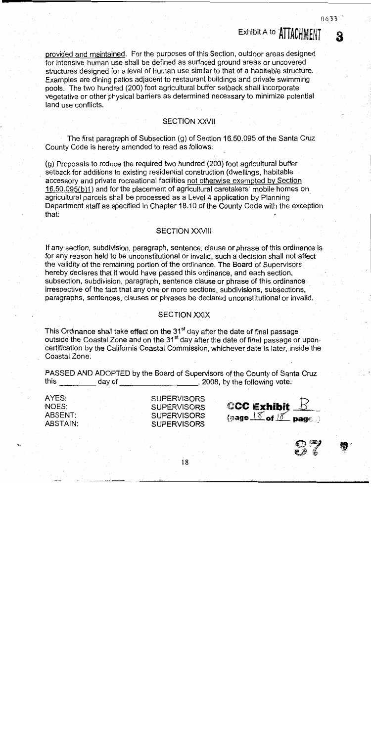provided and maintained. For the purposes of this Section, outdoor areas designed for intensive human use shall be defined as surfaced ground areas or uncovered structures designed for a level of human use similar to that of a habitable structure. Examples are dining patios adjacent to restaurant buildings and private swimming pools. The two hundred (200) foot agricultural buffer setback shall incorporate vegetative or other physical barriers as determined necessary to minimize potential land use conflicts.

#### **SECTION XXVII**

The first paragraph of Subsection (g) of Section 16.50.095 of the Santa Cruz County Code is hereby amended to read as follows:

(q) Proposals to reduce the required two hundred (200) foot agricultural buffer setback for additions to existing residential construction (dwellings, habitable accessory and private recreational facilities not otherwise exempted by Section 16.50.095(b)1) and for the placement of agricultural caretakers' mobile homes on agricultural parcels shall be processed as a Level 4 application by Planning Department staff as specified in Chapter 18.10 of the County Code with the exception that:

# **SECTION XXVIII**

If any section, subdivision, paragraph, sentence, clause or phrase of this ordinance is for any reason held to be unconstitutional or invalid, such a decision shall not affect the validity of the remaining portion of the ordinance. The Board of Supervisors hereby declares that it would have passed this ordinance, and each section, subsection, subdivision, paragraph, sentence clause or phrase of this ordinance irrespective of the fact that any one or more sections, subdivisions, subsections, paragraphs, sentences, clauses or phrases be declared unconstitutional or invalid.

### **SECTION XXIX**

This Ordinance shall take effect on the 31<sup>st</sup> day after the date of final passage outside the Coastal Zone and on the 31<sup>st</sup> day after the date of final passage or uponcertification by the California Coastal Commission, whichever date is later, inside the Coastal Zone.

PASSED AND ADOPTED by the Board of Supervisors of the County of Santa Cruz this dav of  $\sim$  2008, by the following vote:

AYES: NOES: ABSENT: **ABSTAIN:**  **SUPERVISORS SUPERVISORS SUPERVISORS SUPERVISORS** 

18





0633

Exhibit A to ATTACHMENT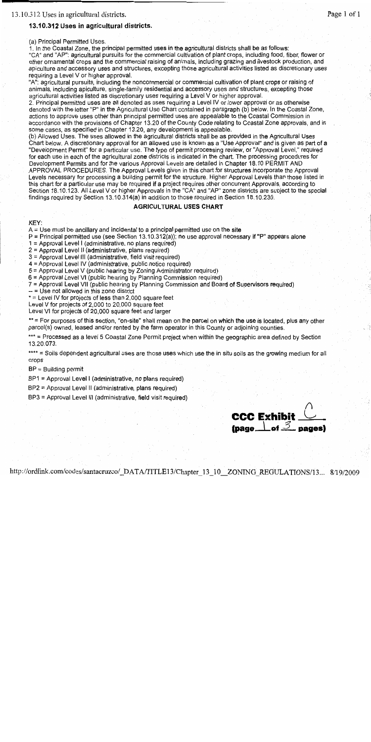#### 13.10.312 Uses in agricultural districts.

(a) Principal Permitted Uses.

1. In the Coastal Zone, the principal permitted uses in the agricultural districts shall be as follows: "CA" and "AP": agricultural pursuits for the commercial cultivation of plant crops, including food, fiber, flower or other ornamental crops and the commercial raising of animals, including grazing and livestock production, and apiculture and accessory uses and structures, excepting those agricultural activities listed as discretionary uses requiring a Level V or higher approval.

"A": agricultural pursuits, including the noncommercial or commercial cultivation of plant crops or raising of animals, including apiculture, single-family residential and accessory uses and structures, excepting those agricultural activities listed as discretionary uses requiring a Level V or higher approval.

2. Principal permitted uses are all denoted as uses requiring a Level IV or lower approval or as otherwise denoted with the letter "P" in the Agricultural Use Chart contained in paragraph (b) below. In the Coastal Zone, actions to approve uses other than principal permitted uses are appealable to the Coastal Commission in accordance with the provisions of Chapter 13.20 of the County Code relating to Coastal Zone approvals, and in some cases, as specified in Chapter 13.20, any development is appealable.

(b) Allowed Uses. The uses allowed in the agricultural districts shall be as provided in the Agricultural Uses Chart below. A discretionary approval for an allowed use is known as a "Use Approval" and is given as part of a "Development Permit" for a particular use. The type of permit processing review, or "Approval Level," required for each use in each of the agricultural zone districts is indicated in the chart. The processing procedures for Development Permits and for the various Approval Levels are detailed in Chapter 18.10 PERMIT AND APPROVAL PROCEDURES. The Approval Levels given in this chart for structures incorporate the Approval Levels necessary for processing a building permit for the structure. Higher Approval Levels than those listed in this chart for a particular use may be required if a project requires other concurrent Approvals, according to Section 18.10.123. All Level V or higher Approvals in the "CA" and "AP" zone districts are subject to the special findings required by Section 13.10.314(a) in addition to those required in Section 18.10.230.

#### **AGRICULTURAL USES CHART**

KEY:

 $A = Use must be ancillary and incidental to a principal permitted use on the site.$ 

 $P =$  Principal permitted use (see Section 13.10.312(a)); no use approval necessary if "P" appears alone

1 = Approval Level I (administrative, no plans required)

2 = Approval Level II (administrative, plans required)

3 = Approval Level III (administrative, field visit required)

4 = Approval Level IV (administrative, public notice required)

5 = Approval Level V (public hearing by Zoning Administrator required)

6 = Approval Level VI (public hearing by Planning Commission required)

7 = Approval Level VII (public hearing by Planning Commission and Board of Supervisors required)

 $-$  = Use not allowed in this zone district

\* = Level IV for projects of less than 2,000 square feet

Level V for projects of 2,000 to 20,000 square feet

Level VI for projects of 20,000 square feet and larger

\*\* = For purposes of this section, "on-site" shall mean on the parcel on which the use is located, plus any other parcel(s) owned, leased and/or rented by the farm operator in this County or adjoining counties.

\*\*\* = Processed as a level 5 Coastal Zone Permit project when within the geographic area defined by Section 13.20.073.

\*\*\*\* = Soils dependent agricultural uses are those uses which use the in situ soils as the growing medium for all crops

 $BP = Building permit$ 

BP1 = Approval Level I (administrative, no plans required)

BP2 = Approval Level II (administrative, plans required)

BP3 = Approval Level III (administrative, field visit required)

**CCC Exhibit** (page  $\perp$  of  $\mathcal{Z}$  pages)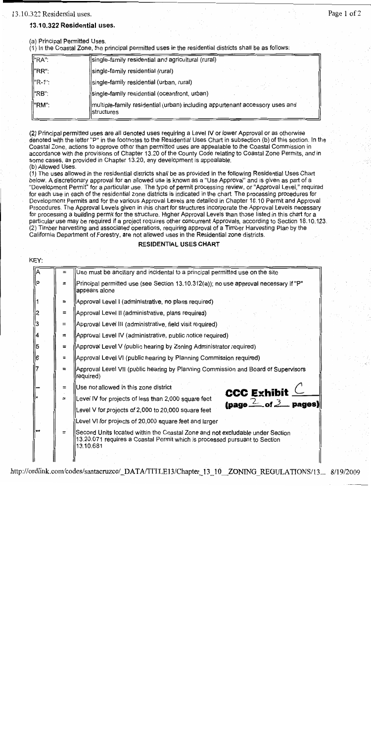#### 13.10.322 Residential uses.

# Page 1 of 2

### 13.10.322 Residential uses.

(a) Principal Permitted Uses.

(1) In the Coastal Zone, the principal permitted uses in the residential districts shall be as follows:

| ll"RA":  | (single-family residential and agricultural (rural)                                          |
|----------|----------------------------------------------------------------------------------------------|
| ll"RR":  | single-family residential (rural)                                                            |
| ll"R-1": | single-family residential (urban, rural)                                                     |
| ll"RB":  | single-family residential (oceanfront, urban)                                                |
| ll"RM":  | multiple-family residential (urban) including appurtenant accessory uses and<br>llstructures |

(2) Principal permitted uses are all denoted uses requiring a Level IV or lower Approval or as otherwise denoted with the letter "P" in the footnotes to the Residential Uses Chart in subsection (b) of this section. In the Coastal Zone, actions to approve other than permitted uses are appealable to the Coastal Commission in accordance with the provisions of Chapter 13.20 of the County Code relating to Coastal Zone Permits, and in some cases, as provided in Chapter 13.20, any development is appealable. (b) Allowed Uses.

(1) The uses allowed in the residential districts shall be as provided in the following Residential Uses Chart below. A discretionary approval for an allowed use is known as a "Use Approval" and is given as part of a "Development Permit" for a particular use. The type of permit processing review, or "Approval Level," required for each use in each of the residential zone districts is indicated in the chart. The processing procedures for Development Permits and for the various Approval Levels are detailed in Chapter 18.10 Permit and Approval Procedures. The Approval Levels given in this chart for structures incorporate the Approval Levels necessary for processing a building permit for the structure. Higher Approval Levels than those listed in this chart for a particular use may be required if a project requires other concurrent Approvals, according to Section 18.10.123. (2) Timber harvesting and associated operations, requiring approval of a Timber Harvesting Plan by the California Department of Forestry, are not allowed uses in the Residential zone districts.

#### **RESIDENTIAL USES CHART**

| KEY:           |     |                                                                                                                                                                          |
|----------------|-----|--------------------------------------------------------------------------------------------------------------------------------------------------------------------------|
|                |     | Use must be ancillary and incidental to a principal permitted use on the site                                                                                            |
| P              |     | Principal permitted use (see Section 13.10.312(a)); no use approval necessary if "P"<br>appears alone                                                                    |
|                | $=$ | Approval Level I (administrative, no plans required)                                                                                                                     |
|                | H   | Approval Level II (administrative, plans required)                                                                                                                       |
|                | Ξ   | Approval Level III (administrative, field visit required)                                                                                                                |
|                | $=$ | Approval Level IV (administrative, public notice required)                                                                                                               |
|                | $=$ | Approval Level V (public hearing by Zoning Administrator required)                                                                                                       |
|                | $=$ | Approval Level VI (public hearing by Planning Commission required)                                                                                                       |
|                | ≒   | Approval Level VII (public hearing by Planning Commission and Board of Supervisors<br>required)                                                                          |
|                | ÷   | Use not allowed in this zone district<br><b>CCC Exhibit <math>\subseteq</math></b>                                                                                       |
|                | $=$ | Level IV for projects of less than 2,000 square feet<br>(page $2$ of $3$ pages)                                                                                          |
|                |     | Level V for projects of 2,000 to 20,000 square feet                                                                                                                      |
|                |     | Level VI for projects of 20,000 square feet and larger                                                                                                                   |
| w <del>k</del> |     | Second Units located within the Coastal Zone and not excludable under Section<br>13.20.071 requires a Coastal Permit which is processed pursuant to Section<br>13.10.681 |
|                |     |                                                                                                                                                                          |

#### http://ordlink.com/codes/santacruzco/ DATA/TITLE13/Chapter 13 10 ZONING REGULATIONS/13... 8/19/2009